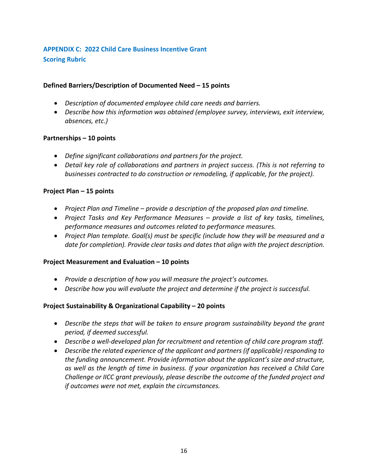# **APPENDIX C: 2022 Child Care Business Incentive Grant Scoring Rubric**

## **Defined Barriers/Description of Documented Need – 15 points**

- *Description of documented employee child care needs and barriers.*
- *Describe how this information was obtained (employee survey, interviews, exit interview, absences, etc.)*

#### **Partnerships – 10 points**

- *Define significant collaborations and partners for the project.*
- *Detail key role of collaborations and partners in project success. (This is not referring to businesses contracted to do construction or remodeling, if applicable, for the project).*

#### **Project Plan – 15 points**

- *Project Plan and Timeline – provide a description of the proposed plan and timeline.*
- *Project Tasks and Key Performance Measures – provide a list of key tasks, timelines, performance measures and outcomes related to performance measures.*
- *Project Plan template. Goal(s) must be specific (include how they will be measured and a date for completion). Provide clear tasks and dates that align with the project description.*

#### **Project Measurement and Evaluation – 10 points**

- *Provide a description of how you will measure the project's outcomes.*
- *Describe how you will evaluate the project and determine if the project is successful.*

#### **Project Sustainability & Organizational Capability – 20 points**

- *Describe the steps that will be taken to ensure program sustainability beyond the grant period, if deemed successful.*
- *Describe a well-developed plan for recruitment and retention of child care program staff.*
- *Describe the related experience of the applicant and partners (if applicable) responding to the funding announcement. Provide information about the applicant's size and structure, as well as the length of time in business. If your organization has received a Child Care Challenge or IICC grant previously, please describe the outcome of the funded project and if outcomes were not met, explain the circumstances.*